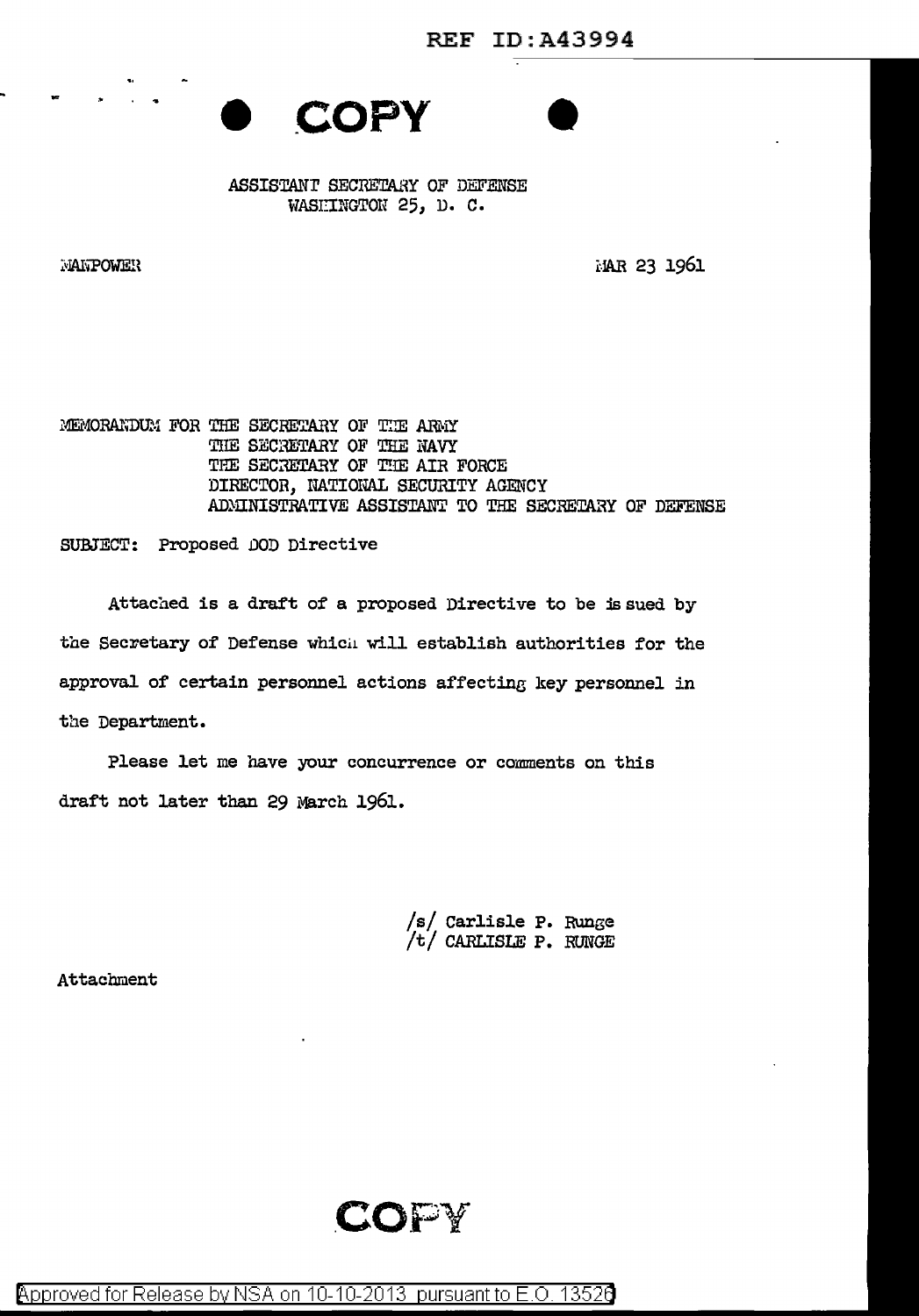



~~iAI~OWEH

j:.JAR 23 1961

MEMORANDUM FOR THE SECRETARY OF THE ARMY THE SECRETARY OF THE NAVY THE SECRETARY OF THE AIR FORCE DIRECTOR, NATIONAL SECURITY AGENCY ADMINISTRATIVE ASSISTANT TO THE SECRETARY OF DEFENSE

SUBJECT: Proposed DOD Directive

Attached is a draft of a proposed Directive to be issued by the Secretary of Defense which will establish authorities for the approval of certain personnel actions affecting key personnel in the Department.

Please let me have your concurrence or comments on this draft not later than 29 March 1961.

/s/ Carlisle P. Runge<br>/t/ CARLISLE P. RUNGE

Attachment

**.COPY**